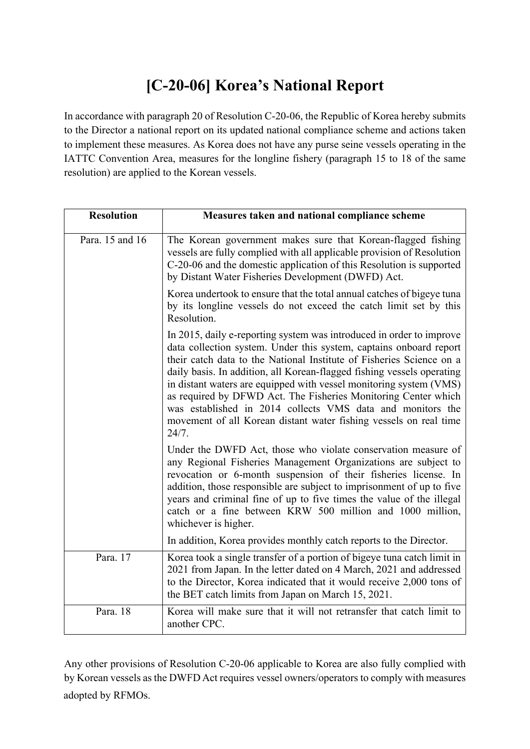## **[C-20-06] Korea's National Report**

In accordance with paragraph 20 of Resolution C-20-06, the Republic of Korea hereby submits to the Director a national report on its updated national compliance scheme and actions taken to implement these measures. As Korea does not have any purse seine vessels operating in the IATTC Convention Area, measures for the longline fishery (paragraph 15 to 18 of the same resolution) are applied to the Korean vessels.

| <b>Resolution</b> | Measures taken and national compliance scheme                                                                                                                                                                                                                                                                                                                                                                                                                                                                                                                                    |
|-------------------|----------------------------------------------------------------------------------------------------------------------------------------------------------------------------------------------------------------------------------------------------------------------------------------------------------------------------------------------------------------------------------------------------------------------------------------------------------------------------------------------------------------------------------------------------------------------------------|
| Para. 15 and 16   | The Korean government makes sure that Korean-flagged fishing<br>vessels are fully complied with all applicable provision of Resolution<br>C-20-06 and the domestic application of this Resolution is supported<br>by Distant Water Fisheries Development (DWFD) Act.                                                                                                                                                                                                                                                                                                             |
|                   | Korea undertook to ensure that the total annual catches of bigeye tuna<br>by its longline vessels do not exceed the catch limit set by this<br>Resolution.                                                                                                                                                                                                                                                                                                                                                                                                                       |
|                   | In 2015, daily e-reporting system was introduced in order to improve<br>data collection system. Under this system, captains onboard report<br>their catch data to the National Institute of Fisheries Science on a<br>daily basis. In addition, all Korean-flagged fishing vessels operating<br>in distant waters are equipped with vessel monitoring system (VMS)<br>as required by DFWD Act. The Fisheries Monitoring Center which<br>was established in 2014 collects VMS data and monitors the<br>movement of all Korean distant water fishing vessels on real time<br>24/7. |
|                   | Under the DWFD Act, those who violate conservation measure of<br>any Regional Fisheries Management Organizations are subject to<br>revocation or 6-month suspension of their fisheries license. In<br>addition, those responsible are subject to imprisonment of up to five<br>years and criminal fine of up to five times the value of the illegal<br>catch or a fine between KRW 500 million and 1000 million,<br>whichever is higher.                                                                                                                                         |
|                   | In addition, Korea provides monthly catch reports to the Director.                                                                                                                                                                                                                                                                                                                                                                                                                                                                                                               |
| Para. 17          | Korea took a single transfer of a portion of bigeye tuna catch limit in<br>2021 from Japan. In the letter dated on 4 March, 2021 and addressed<br>to the Director, Korea indicated that it would receive 2,000 tons of<br>the BET catch limits from Japan on March 15, 2021.                                                                                                                                                                                                                                                                                                     |
| Para. 18          | Korea will make sure that it will not retransfer that catch limit to<br>another CPC.                                                                                                                                                                                                                                                                                                                                                                                                                                                                                             |

Any other provisions of Resolution C-20-06 applicable to Korea are also fully complied with by Korean vessels as the DWFD Act requires vessel owners/operators to comply with measures adopted by RFMOs.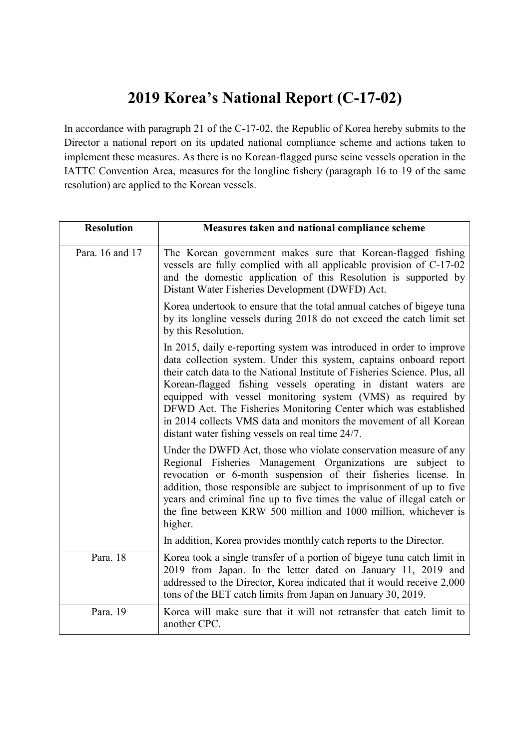## **2019 Korea's National Report (C-17-02)**

In accordance with paragraph 21 of the C-17-02, the Republic of Korea hereby submits to the Director a national report on its updated national compliance scheme and actions taken to implement these measures. As there is no Korean-flagged purse seine vessels operation in the IATTC Convention Area, measures for the longline fishery (paragraph 16 to 19 of the same resolution) are applied to the Korean vessels.

| <b>Resolution</b> | Measures taken and national compliance scheme                                                                                                                                                                                                                                                                                                                                                                                                                                                                                                         |
|-------------------|-------------------------------------------------------------------------------------------------------------------------------------------------------------------------------------------------------------------------------------------------------------------------------------------------------------------------------------------------------------------------------------------------------------------------------------------------------------------------------------------------------------------------------------------------------|
| Para, 16 and 17   | The Korean government makes sure that Korean-flagged fishing<br>vessels are fully complied with all applicable provision of C-17-02<br>and the domestic application of this Resolution is supported by<br>Distant Water Fisheries Development (DWFD) Act.                                                                                                                                                                                                                                                                                             |
|                   | Korea undertook to ensure that the total annual catches of bigeye tuna<br>by its longline vessels during 2018 do not exceed the catch limit set<br>by this Resolution.                                                                                                                                                                                                                                                                                                                                                                                |
|                   | In 2015, daily e-reporting system was introduced in order to improve<br>data collection system. Under this system, captains onboard report<br>their catch data to the National Institute of Fisheries Science. Plus, all<br>Korean-flagged fishing vessels operating in distant waters are<br>equipped with vessel monitoring system (VMS) as required by<br>DFWD Act. The Fisheries Monitoring Center which was established<br>in 2014 collects VMS data and monitors the movement of all Korean<br>distant water fishing vessels on real time 24/7. |
|                   | Under the DWFD Act, those who violate conservation measure of any<br>Regional Fisheries Management Organizations are<br>subject to<br>revocation or 6-month suspension of their fisheries license. In<br>addition, those responsible are subject to imprisonment of up to five<br>years and criminal fine up to five times the value of illegal catch or<br>the fine between KRW 500 million and 1000 million, whichever is<br>higher.                                                                                                                |
|                   | In addition, Korea provides monthly catch reports to the Director.                                                                                                                                                                                                                                                                                                                                                                                                                                                                                    |
| Para. 18          | Korea took a single transfer of a portion of bigeye tuna catch limit in<br>2019 from Japan. In the letter dated on January 11, 2019 and<br>addressed to the Director, Korea indicated that it would receive 2,000<br>tons of the BET catch limits from Japan on January 30, 2019.                                                                                                                                                                                                                                                                     |
| Para. 19          | Korea will make sure that it will not retransfer that catch limit to<br>another CPC.                                                                                                                                                                                                                                                                                                                                                                                                                                                                  |